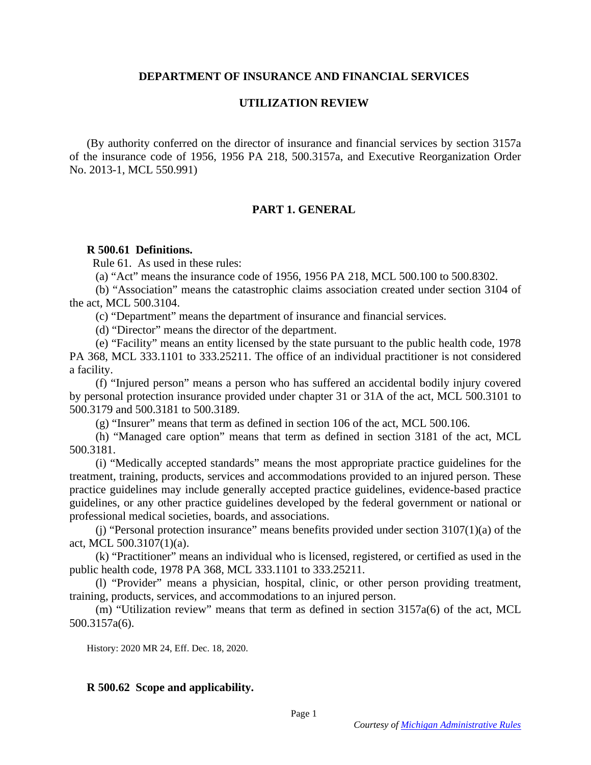# **DEPARTMENT OF INSURANCE AND FINANCIAL SERVICES**

# **UTILIZATION REVIEW**

(By authority conferred on the director of insurance and financial services by section 3157a of the insurance code of 1956, 1956 PA 218, 500.3157a, and Executive Reorganization Order No. 2013-1, MCL 550.991)

# **PART 1. GENERAL**

## **R 500.61 Definitions.**

Rule 61. As used in these rules:

(a) "Act" means the insurance code of 1956, 1956 PA 218, MCL 500.100 to 500.8302.

 (b) "Association" means the catastrophic claims association created under section 3104 of the act, MCL 500.3104.

(c) "Department" means the department of insurance and financial services.

(d) "Director" means the director of the department.

 (e) "Facility" means an entity licensed by the state pursuant to the public health code, 1978 PA 368, MCL 333.1101 to 333.25211. The office of an individual practitioner is not considered a facility.

 (f) "Injured person" means a person who has suffered an accidental bodily injury covered by personal protection insurance provided under chapter 31 or 31A of the act, MCL 500.3101 to 500.3179 and 500.3181 to 500.3189.

(g) "Insurer" means that term as defined in section 106 of the act, MCL 500.106.

 (h) "Managed care option" means that term as defined in section 3181 of the act, MCL 500.3181.

 (i) "Medically accepted standards" means the most appropriate practice guidelines for the treatment, training, products, services and accommodations provided to an injured person. These practice guidelines may include generally accepted practice guidelines, evidence-based practice guidelines, or any other practice guidelines developed by the federal government or national or professional medical societies, boards, and associations.

 (j) "Personal protection insurance" means benefits provided under section 3107(1)(a) of the act, MCL 500.3107(1)(a).

 (k) "Practitioner" means an individual who is licensed, registered, or certified as used in the public health code, 1978 PA 368, MCL 333.1101 to 333.25211.

 (l) "Provider" means a physician, hospital, clinic, or other person providing treatment, training, products, services, and accommodations to an injured person.

 (m) "Utilization review" means that term as defined in section 3157a(6) of the act, MCL 500.3157a(6).

History: 2020 MR 24, Eff. Dec. 18, 2020.

## **R 500.62 Scope and applicability.**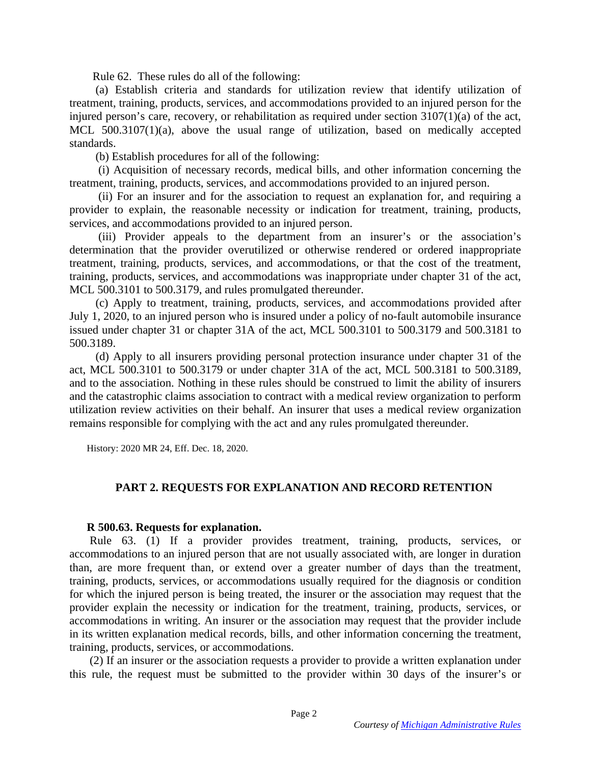Rule 62. These rules do all of the following:

 (a) Establish criteria and standards for utilization review that identify utilization of treatment, training, products, services, and accommodations provided to an injured person for the injured person's care, recovery, or rehabilitation as required under section 3107(1)(a) of the act, MCL 500.3107(1)(a), above the usual range of utilization, based on medically accepted standards.

(b) Establish procedures for all of the following:

 (i) Acquisition of necessary records, medical bills, and other information concerning the treatment, training, products, services, and accommodations provided to an injured person.

 (ii) For an insurer and for the association to request an explanation for, and requiring a provider to explain, the reasonable necessity or indication for treatment, training, products, services, and accommodations provided to an injured person.

 (iii) Provider appeals to the department from an insurer's or the association's determination that the provider overutilized or otherwise rendered or ordered inappropriate treatment, training, products, services, and accommodations, or that the cost of the treatment, training, products, services, and accommodations was inappropriate under chapter 31 of the act, MCL 500.3101 to 500.3179, and rules promulgated thereunder.

 (c) Apply to treatment, training, products, services, and accommodations provided after July 1, 2020, to an injured person who is insured under a policy of no-fault automobile insurance issued under chapter 31 or chapter 31A of the act, MCL 500.3101 to 500.3179 and 500.3181 to 500.3189.

 (d) Apply to all insurers providing personal protection insurance under chapter 31 of the act, MCL 500.3101 to 500.3179 or under chapter 31A of the act, MCL 500.3181 to 500.3189, and to the association. Nothing in these rules should be construed to limit the ability of insurers and the catastrophic claims association to contract with a medical review organization to perform utilization review activities on their behalf. An insurer that uses a medical review organization remains responsible for complying with the act and any rules promulgated thereunder.

History: 2020 MR 24, Eff. Dec. 18, 2020.

# **PART 2. REQUESTS FOR EXPLANATION AND RECORD RETENTION**

## **R 500.63. Requests for explanation.**

 Rule 63. (1) If a provider provides treatment, training, products, services, or accommodations to an injured person that are not usually associated with, are longer in duration than, are more frequent than, or extend over a greater number of days than the treatment, training, products, services, or accommodations usually required for the diagnosis or condition for which the injured person is being treated, the insurer or the association may request that the provider explain the necessity or indication for the treatment, training, products, services, or accommodations in writing. An insurer or the association may request that the provider include in its written explanation medical records, bills, and other information concerning the treatment, training, products, services, or accommodations.

 (2) If an insurer or the association requests a provider to provide a written explanation under this rule, the request must be submitted to the provider within 30 days of the insurer's or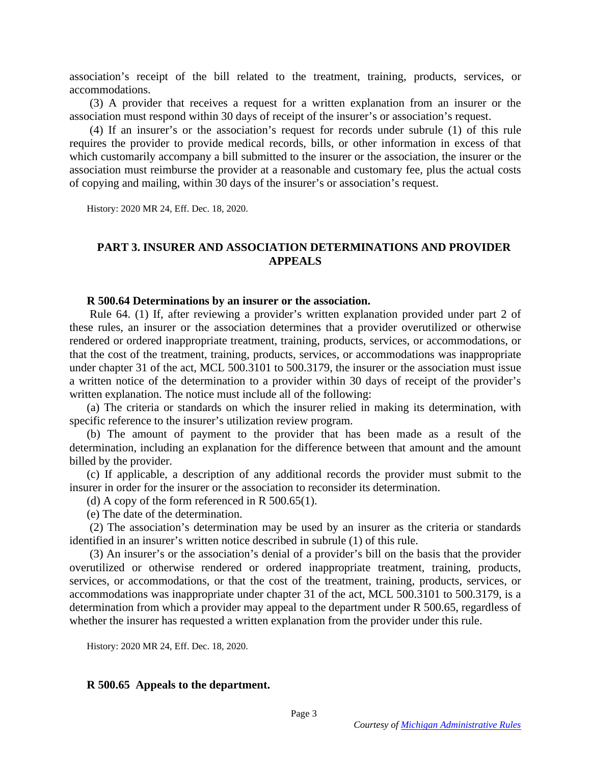association's receipt of the bill related to the treatment, training, products, services, or accommodations.

 (3) A provider that receives a request for a written explanation from an insurer or the association must respond within 30 days of receipt of the insurer's or association's request.

 (4) If an insurer's or the association's request for records under subrule (1) of this rule requires the provider to provide medical records, bills, or other information in excess of that which customarily accompany a bill submitted to the insurer or the association, the insurer or the association must reimburse the provider at a reasonable and customary fee, plus the actual costs of copying and mailing, within 30 days of the insurer's or association's request.

History: 2020 MR 24, Eff. Dec. 18, 2020.

### **PART 3. INSURER AND ASSOCIATION DETERMINATIONS AND PROVIDER APPEALS**

#### **R 500.64 Determinations by an insurer or the association.**

 Rule 64. (1) If, after reviewing a provider's written explanation provided under part 2 of these rules, an insurer or the association determines that a provider overutilized or otherwise rendered or ordered inappropriate treatment, training, products, services, or accommodations, or that the cost of the treatment, training, products, services, or accommodations was inappropriate under chapter 31 of the act, MCL 500.3101 to 500.3179, the insurer or the association must issue a written notice of the determination to a provider within 30 days of receipt of the provider's written explanation. The notice must include all of the following:

(a) The criteria or standards on which the insurer relied in making its determination, with specific reference to the insurer's utilization review program.

(b) The amount of payment to the provider that has been made as a result of the determination, including an explanation for the difference between that amount and the amount billed by the provider.

(c) If applicable, a description of any additional records the provider must submit to the insurer in order for the insurer or the association to reconsider its determination.

(d) A copy of the form referenced in R  $500.65(1)$ .

(e) The date of the determination.

 (2) The association's determination may be used by an insurer as the criteria or standards identified in an insurer's written notice described in subrule (1) of this rule.

 (3) An insurer's or the association's denial of a provider's bill on the basis that the provider overutilized or otherwise rendered or ordered inappropriate treatment, training, products, services, or accommodations, or that the cost of the treatment, training, products, services, or accommodations was inappropriate under chapter 31 of the act, MCL 500.3101 to 500.3179, is a determination from which a provider may appeal to the department under R 500.65, regardless of whether the insurer has requested a written explanation from the provider under this rule.

History: 2020 MR 24, Eff. Dec. 18, 2020.

### **R 500.65 Appeals to the department.**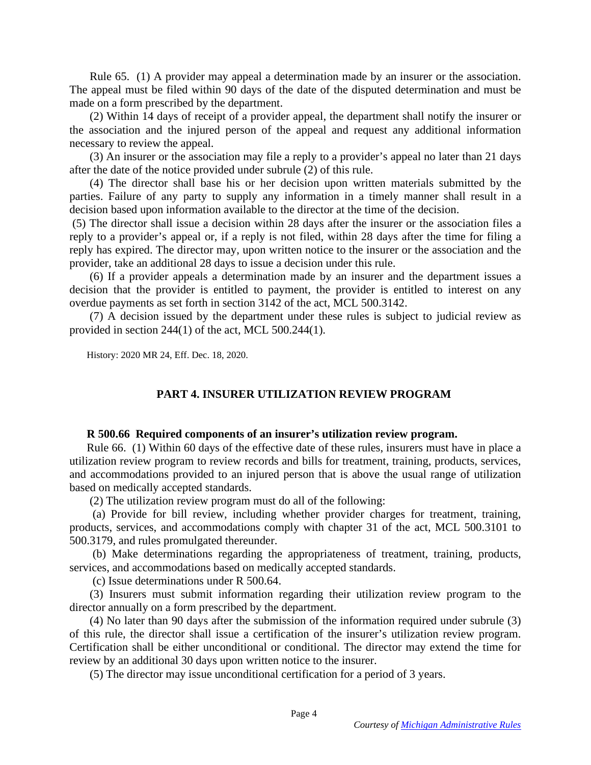Rule 65. (1) A provider may appeal a determination made by an insurer or the association. The appeal must be filed within 90 days of the date of the disputed determination and must be made on a form prescribed by the department.

 (2) Within 14 days of receipt of a provider appeal, the department shall notify the insurer or the association and the injured person of the appeal and request any additional information necessary to review the appeal.

 (3) An insurer or the association may file a reply to a provider's appeal no later than 21 days after the date of the notice provided under subrule (2) of this rule.

 (4) The director shall base his or her decision upon written materials submitted by the parties. Failure of any party to supply any information in a timely manner shall result in a decision based upon information available to the director at the time of the decision.

 (5) The director shall issue a decision within 28 days after the insurer or the association files a reply to a provider's appeal or, if a reply is not filed, within 28 days after the time for filing a reply has expired. The director may, upon written notice to the insurer or the association and the provider, take an additional 28 days to issue a decision under this rule.

 (6) If a provider appeals a determination made by an insurer and the department issues a decision that the provider is entitled to payment, the provider is entitled to interest on any overdue payments as set forth in section 3142 of the act, MCL 500.3142.

 (7) A decision issued by the department under these rules is subject to judicial review as provided in section 244(1) of the act, MCL 500.244(1).

History: 2020 MR 24, Eff. Dec. 18, 2020.

# **PART 4. INSURER UTILIZATION REVIEW PROGRAM**

### **R 500.66 Required components of an insurer's utilization review program.**

Rule 66. (1) Within 60 days of the effective date of these rules, insurers must have in place a utilization review program to review records and bills for treatment, training, products, services, and accommodations provided to an injured person that is above the usual range of utilization based on medically accepted standards.

(2) The utilization review program must do all of the following:

 (a) Provide for bill review, including whether provider charges for treatment, training, products, services, and accommodations comply with chapter 31 of the act, MCL 500.3101 to 500.3179, and rules promulgated thereunder.

 (b) Make determinations regarding the appropriateness of treatment, training, products, services, and accommodations based on medically accepted standards.

(c) Issue determinations under R 500.64.

 (3) Insurers must submit information regarding their utilization review program to the director annually on a form prescribed by the department.

 (4) No later than 90 days after the submission of the information required under subrule (3) of this rule, the director shall issue a certification of the insurer's utilization review program. Certification shall be either unconditional or conditional. The director may extend the time for review by an additional 30 days upon written notice to the insurer.

(5) The director may issue unconditional certification for a period of 3 years.